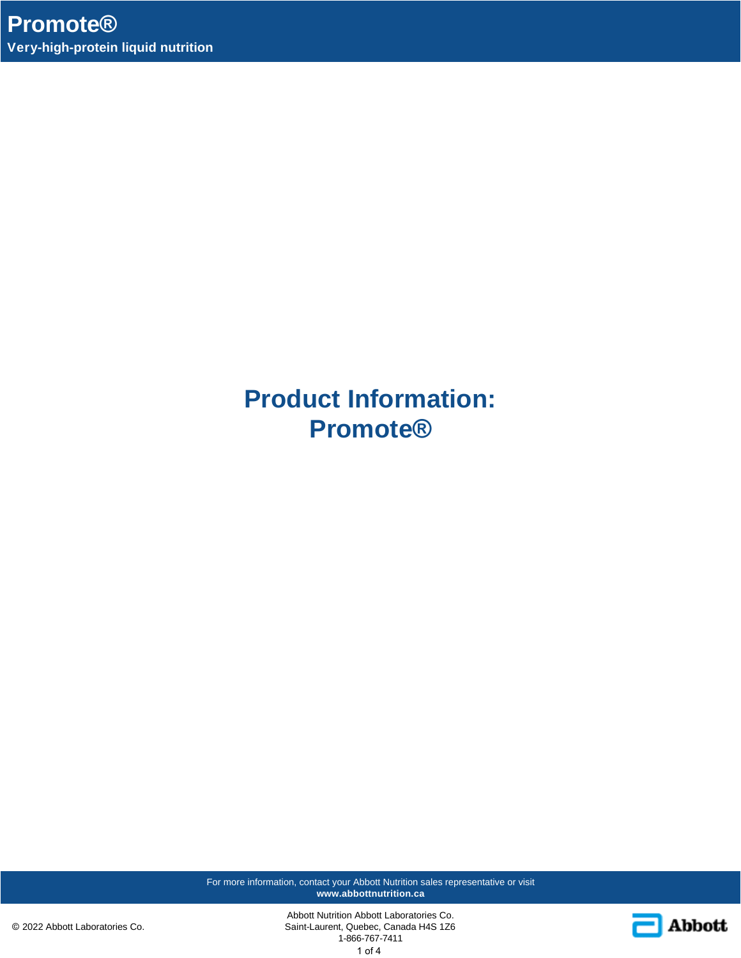**Product Information: Promote®**

For more information, contact your Abbott Nutrition sales representative or visit **www.abbottnutrition.ca**

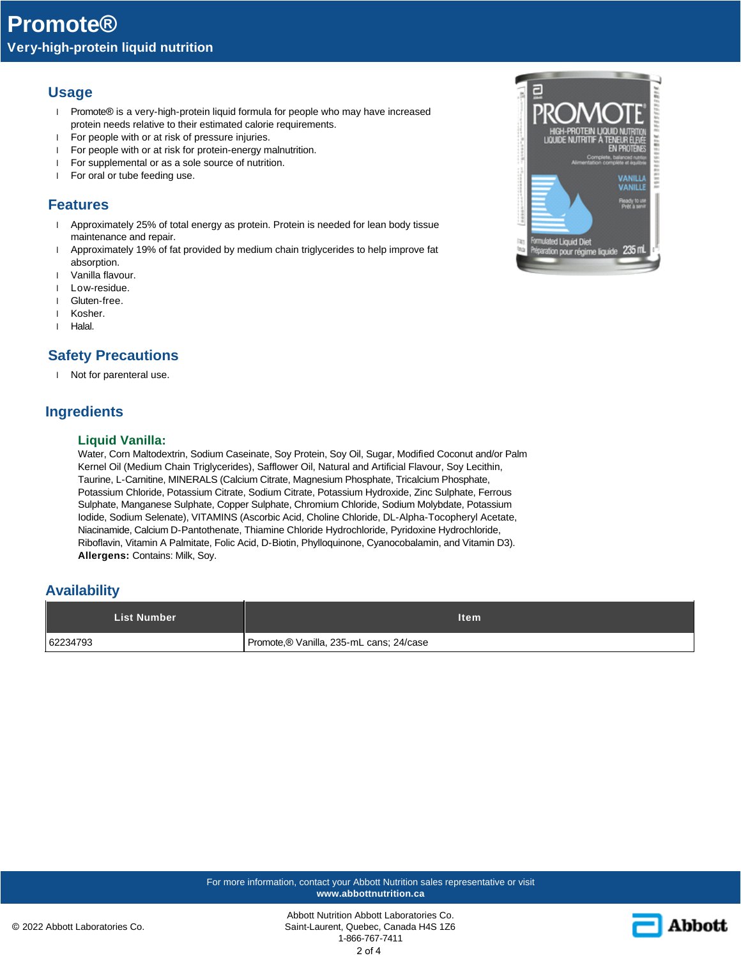## **Usage**

- l Promote® is a very-high-protein liquid formula for people who may have increased protein needs relative to their estimated calorie requirements.
- l For people with or at risk of pressure injuries.
- l For people with or at risk for protein-energy malnutrition.
- l For supplemental or as a sole source of nutrition.
- l For oral or tube feeding use.

### **Features**

- 1 Approximately 25% of total energy as protein. Protein is needed for lean body tissue maintenance and repair.
- l Approximately 19% of fat provided by medium chain triglycerides to help improve fat absorption.
- l Vanilla flavour.
- l Low-residue.
- l Gluten-free.
- l Kosher.
- l Halal.

## **Safety Precautions**

l Not for parenteral use.

## **Ingredients**

### **Liquid Vanilla:**

Water, Corn Maltodextrin, Sodium Caseinate, Soy Protein, Soy Oil, Sugar, Modified Coconut and/or Palm Kernel Oil (Medium Chain Triglycerides), Safflower Oil, Natural and Artificial Flavour, Soy Lecithin, Taurine, L-Carnitine, MINERALS (Calcium Citrate, Magnesium Phosphate, Tricalcium Phosphate, Potassium Chloride, Potassium Citrate, Sodium Citrate, Potassium Hydroxide, Zinc Sulphate, Ferrous Sulphate, Manganese Sulphate, Copper Sulphate, Chromium Chloride, Sodium Molybdate, Potassium Iodide, Sodium Selenate), VITAMINS (Ascorbic Acid, Choline Chloride, DL-Alpha-Tocopheryl Acetate, Niacinamide, Calcium D-Pantothenate, Thiamine Chloride Hydrochloride, Pyridoxine Hydrochloride, Riboflavin, Vitamin A Palmitate, Folic Acid, D-Biotin, Phylloquinone, Cyanocobalamin, and Vitamin D3). **Allergens:** Contains: Milk, Soy.

### **Availability**

| <b>List Number</b> | <b>Item</b>                             |
|--------------------|-----------------------------------------|
| 62234793           | Promote,® Vanilla, 235-mL cans; 24/case |





Abbott Nutrition Abbott Laboratories Co. Saint-Laurent, Quebec, Canada H4S 1Z6 1-866-767-7411 2 of 4

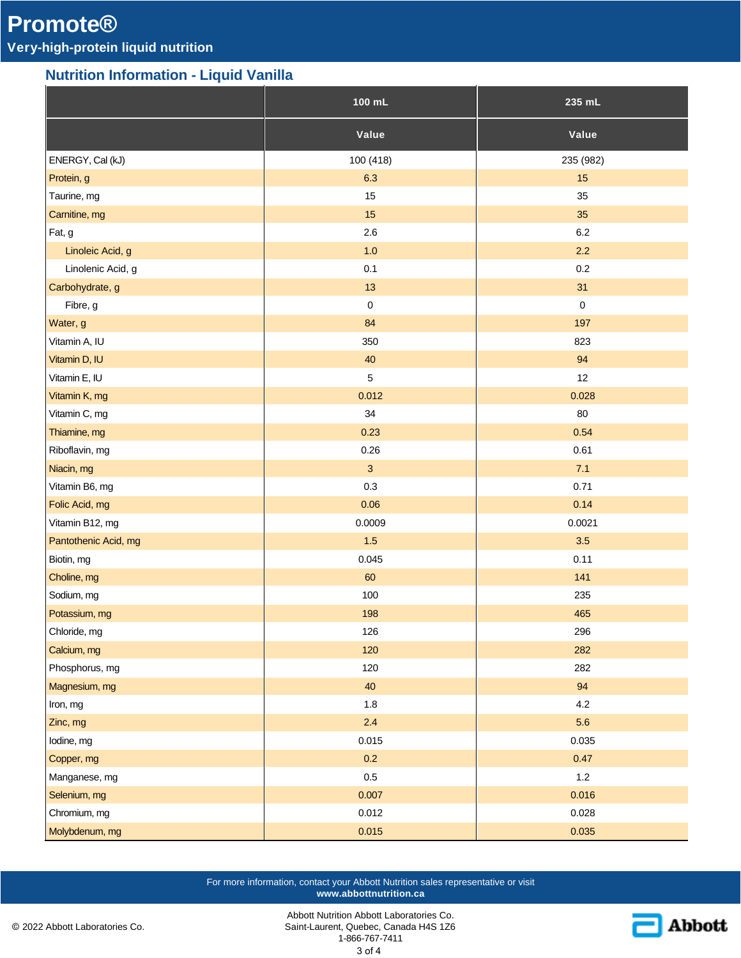# **Promote®**

# **Very-high-protein liquid nutrition**

## **Nutrition Information - Liquid Vanilla**

|                      | $100$ mL     | $235$ mL  |
|----------------------|--------------|-----------|
|                      | Value        | Value     |
| ENERGY, Cal (kJ)     | 100 (418)    | 235 (982) |
| Protein, g           | 6.3          | 15        |
| Taurine, mg          | 15           | 35        |
| Carnitine, mg        | 15           | 35        |
| Fat, g               | 2.6          | 6.2       |
| Linoleic Acid, g     | $1.0$        | 2.2       |
| Linolenic Acid, g    | 0.1          | $0.2\,$   |
| Carbohydrate, g      | 13           | 31        |
| Fibre, g             | $\pmb{0}$    | $\pmb{0}$ |
| Water, g             | 84           | 197       |
| Vitamin A, IU        | 350          | 823       |
| Vitamin D, IU        | $40\,$       | 94        |
| Vitamin E, IU        | $\sqrt{5}$   | 12        |
| Vitamin K, mg        | 0.012        | 0.028     |
| Vitamin C, mg        | 34           | 80        |
| Thiamine, mg         | 0.23         | 0.54      |
| Riboflavin, mg       | 0.26         | 0.61      |
| Niacin, mg           | $\mathbf{3}$ | 7.1       |
| Vitamin B6, mg       | 0.3          | 0.71      |
| Folic Acid, mg       | 0.06         | 0.14      |
| Vitamin B12, mg      | 0.0009       | 0.0021    |
| Pantothenic Acid, mg | $1.5$        | 3.5       |
| Biotin, mg           | 0.045        | 0.11      |
| Choline, mg          | 60           | 141       |
| Sodium, mg           | 100          | 235       |
| Potassium, mg        | 198          | 465       |
| Chloride, mg         | 126          | 296       |
| Calcium, mg          | 120          | 282       |
| Phosphorus, mg       | 120          | 282       |
| Magnesium, mg        | 40           | 94        |
| Iron, mg             | $1.8\,$      | 4.2       |
| Zinc, mg             | 2.4          | 5.6       |
| lodine, mg           | 0.015        | 0.035     |
| Copper, mg           | 0.2          | 0.47      |
| Manganese, mg        | $0.5\,$      | $1.2\,$   |
| Selenium, mg         | 0.007        | 0.016     |
| Chromium, mg         | 0.012        | 0.028     |
| Molybdenum, mg       | 0.015        | 0.035     |

For more information, contact your Abbott Nutrition sales representative or visit **www.abbottnutrition.ca**